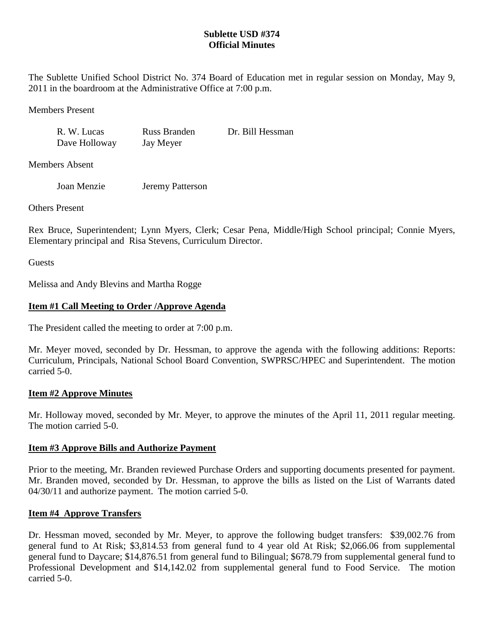# **Sublette USD #374 Official Minutes**

The Sublette Unified School District No. 374 Board of Education met in regular session on Monday, May 9, 2011 in the boardroom at the Administrative Office at 7:00 p.m.

Members Present

R. W. Lucas Russ Branden Dr. Bill Hessman Dave Holloway Jay Meyer

Members Absent

Joan Menzie Jeremy Patterson

Others Present

Rex Bruce, Superintendent; Lynn Myers, Clerk; Cesar Pena, Middle/High School principal; Connie Myers, Elementary principal and Risa Stevens, Curriculum Director.

**Guests** 

Melissa and Andy Blevins and Martha Rogge

# **Item #1 Call Meeting to Order /Approve Agenda**

The President called the meeting to order at 7:00 p.m.

Mr. Meyer moved, seconded by Dr. Hessman, to approve the agenda with the following additions: Reports: Curriculum, Principals, National School Board Convention, SWPRSC/HPEC and Superintendent. The motion carried 5-0.

# **Item #2 Approve Minutes**

Mr. Holloway moved, seconded by Mr. Meyer, to approve the minutes of the April 11, 2011 regular meeting. The motion carried 5-0.

# **Item #3 Approve Bills and Authorize Payment**

Prior to the meeting, Mr. Branden reviewed Purchase Orders and supporting documents presented for payment. Mr. Branden moved, seconded by Dr. Hessman, to approve the bills as listed on the List of Warrants dated 04/30/11 and authorize payment. The motion carried 5-0.

# **Item #4 Approve Transfers**

Dr. Hessman moved, seconded by Mr. Meyer, to approve the following budget transfers: \$39,002.76 from general fund to At Risk; \$3,814.53 from general fund to 4 year old At Risk; \$2,066.06 from supplemental general fund to Daycare; \$14,876.51 from general fund to Bilingual; \$678.79 from supplemental general fund to Professional Development and \$14,142.02 from supplemental general fund to Food Service. The motion carried 5-0.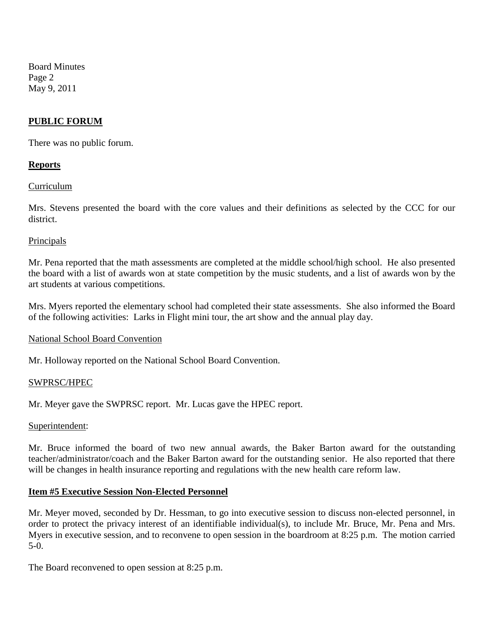Board Minutes Page 2 May 9, 2011

# **PUBLIC FORUM**

There was no public forum.

# **Reports**

### Curriculum

Mrs. Stevens presented the board with the core values and their definitions as selected by the CCC for our district.

### Principals

Mr. Pena reported that the math assessments are completed at the middle school/high school. He also presented the board with a list of awards won at state competition by the music students, and a list of awards won by the art students at various competitions.

Mrs. Myers reported the elementary school had completed their state assessments. She also informed the Board of the following activities: Larks in Flight mini tour, the art show and the annual play day.

#### National School Board Convention

Mr. Holloway reported on the National School Board Convention.

#### SWPRSC/HPEC

Mr. Meyer gave the SWPRSC report. Mr. Lucas gave the HPEC report.

#### Superintendent:

Mr. Bruce informed the board of two new annual awards, the Baker Barton award for the outstanding teacher/administrator/coach and the Baker Barton award for the outstanding senior. He also reported that there will be changes in health insurance reporting and regulations with the new health care reform law.

# **Item #5 Executive Session Non-Elected Personnel**

Mr. Meyer moved, seconded by Dr. Hessman, to go into executive session to discuss non-elected personnel, in order to protect the privacy interest of an identifiable individual(s), to include Mr. Bruce, Mr. Pena and Mrs. Myers in executive session, and to reconvene to open session in the boardroom at 8:25 p.m. The motion carried 5-0.

The Board reconvened to open session at 8:25 p.m.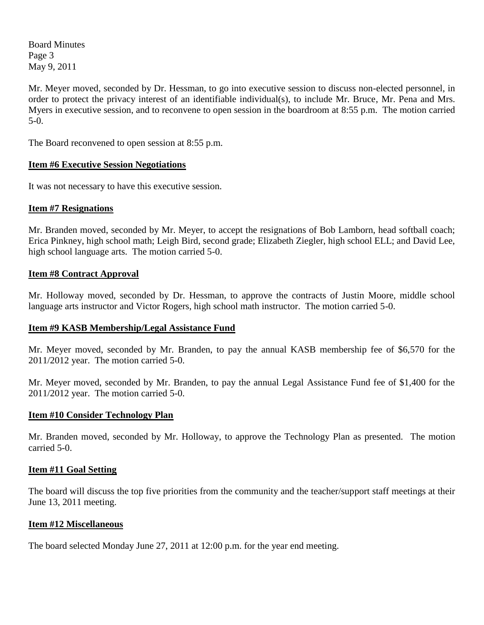Board Minutes Page 3 May 9, 2011

Mr. Meyer moved, seconded by Dr. Hessman, to go into executive session to discuss non-elected personnel, in order to protect the privacy interest of an identifiable individual(s), to include Mr. Bruce, Mr. Pena and Mrs. Myers in executive session, and to reconvene to open session in the boardroom at 8:55 p.m. The motion carried 5-0.

The Board reconvened to open session at 8:55 p.m.

# **Item #6 Executive Session Negotiations**

It was not necessary to have this executive session.

# **Item #7 Resignations**

Mr. Branden moved, seconded by Mr. Meyer, to accept the resignations of Bob Lamborn, head softball coach; Erica Pinkney, high school math; Leigh Bird, second grade; Elizabeth Ziegler, high school ELL; and David Lee, high school language arts. The motion carried 5-0.

# **Item #8 Contract Approval**

Mr. Holloway moved, seconded by Dr. Hessman, to approve the contracts of Justin Moore, middle school language arts instructor and Victor Rogers, high school math instructor. The motion carried 5-0.

# **Item #9 KASB Membership/Legal Assistance Fund**

Mr. Meyer moved, seconded by Mr. Branden, to pay the annual KASB membership fee of \$6,570 for the 2011/2012 year. The motion carried 5-0.

Mr. Meyer moved, seconded by Mr. Branden, to pay the annual Legal Assistance Fund fee of \$1,400 for the 2011/2012 year. The motion carried 5-0.

# **Item #10 Consider Technology Plan**

Mr. Branden moved, seconded by Mr. Holloway, to approve the Technology Plan as presented. The motion carried 5-0.

# **Item #11 Goal Setting**

The board will discuss the top five priorities from the community and the teacher/support staff meetings at their June 13, 2011 meeting.

# **Item #12 Miscellaneous**

The board selected Monday June 27, 2011 at 12:00 p.m. for the year end meeting.